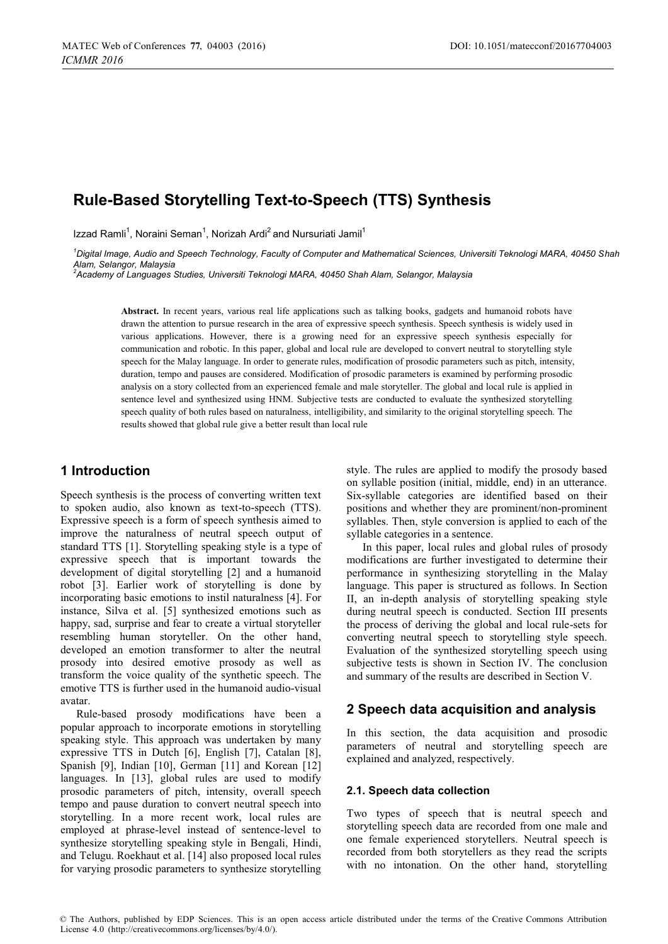# **Rule-Based Storytelling Text-to-Speech (TTS) Synthesis**

Izzad Ramli<sup>1</sup>, Noraini Seman<sup>1</sup>, Norizah Ardi<sup>2</sup> and Nursuriati Jamil<sup>1</sup>

*1 Digital Image, Audio and Speech Technology, Faculty of Computer and Mathematical Sciences, Universiti Teknologi MARA, 40450 Shah Alam, Selangor, Malaysia* 

*2 Academy of Languages Studies, Universiti Teknologi MARA, 40450 Shah Alam, Selangor, Malaysia* 

**Abstract.** In recent years, various real life applications such as talking books, gadgets and humanoid robots have drawn the attention to pursue research in the area of expressive speech synthesis. Speech synthesis is widely used in various applications. However, there is a growing need for an expressive speech synthesis especially for communication and robotic. In this paper, global and local rule are developed to convert neutral to storytelling style speech for the Malay language. In order to generate rules, modification of prosodic parameters such as pitch, intensity, duration, tempo and pauses are considered. Modification of prosodic parameters is examined by performing prosodic analysis on a story collected from an experienced female and male storyteller. The global and local rule is applied in sentence level and synthesized using HNM. Subjective tests are conducted to evaluate the synthesized storytelling speech quality of both rules based on naturalness, intelligibility, and similarity to the original storytelling speech. The results showed that global rule give a better result than local rule

## **1 Introduction**

Speech synthesis is the process of converting written text to spoken audio, also known as text-to-speech (TTS). Expressive speech is a form of speech synthesis aimed to improve the naturalness of neutral speech output of standard TTS [1]. Storytelling speaking style is a type of expressive speech that is important towards the development of digital storytelling [2] and a humanoid robot [3]. Earlier work of storytelling is done by incorporating basic emotions to instil naturalness [4]. For instance, Silva et al. [5] synthesized emotions such as happy, sad, surprise and fear to create a virtual storyteller resembling human storyteller. On the other hand, developed an emotion transformer to alter the neutral prosody into desired emotive prosody as well as transform the voice quality of the synthetic speech. The emotive TTS is further used in the humanoid audio-visual avatar.

Rule-based prosody modifications have been a popular approach to incorporate emotions in storytelling speaking style. This approach was undertaken by many expressive TTS in Dutch [6], English [7], Catalan [8], Spanish [9], Indian [10], German [11] and Korean [12] languages. In [13], global rules are used to modify prosodic parameters of pitch, intensity, overall speech tempo and pause duration to convert neutral speech into storytelling. In a more recent work, local rules are employed at phrase-level instead of sentence-level to synthesize storytelling speaking style in Bengali, Hindi, and Telugu. Roekhaut et al. [14] also proposed local rules for varying prosodic parameters to synthesize storytelling style. The rules are applied to modify the prosody based on syllable position (initial, middle, end) in an utterance. Six-syllable categories are identified based on their positions and whether they are prominent/non-prominent syllables. Then, style conversion is applied to each of the syllable categories in a sentence.

In this paper, local rules and global rules of prosody modifications are further investigated to determine their performance in synthesizing storytelling in the Malay language. This paper is structured as follows. In Section II, an in-depth analysis of storytelling speaking style during neutral speech is conducted. Section III presents the process of deriving the global and local rule-sets for converting neutral speech to storytelling style speech. Evaluation of the synthesized storytelling speech using subjective tests is shown in Section IV. The conclusion and summary of the results are described in Section V.

#### **2 Speech data acquisition and analysis**

In this section, the data acquisition and prosodic parameters of neutral and storytelling speech are explained and analyzed, respectively.

#### **2.1. Speech data collection**

Two types of speech that is neutral speech and storytelling speech data are recorded from one male and one female experienced storytellers. Neutral speech is recorded from both storytellers as they read the scripts with no intonation. On the other hand, storytelling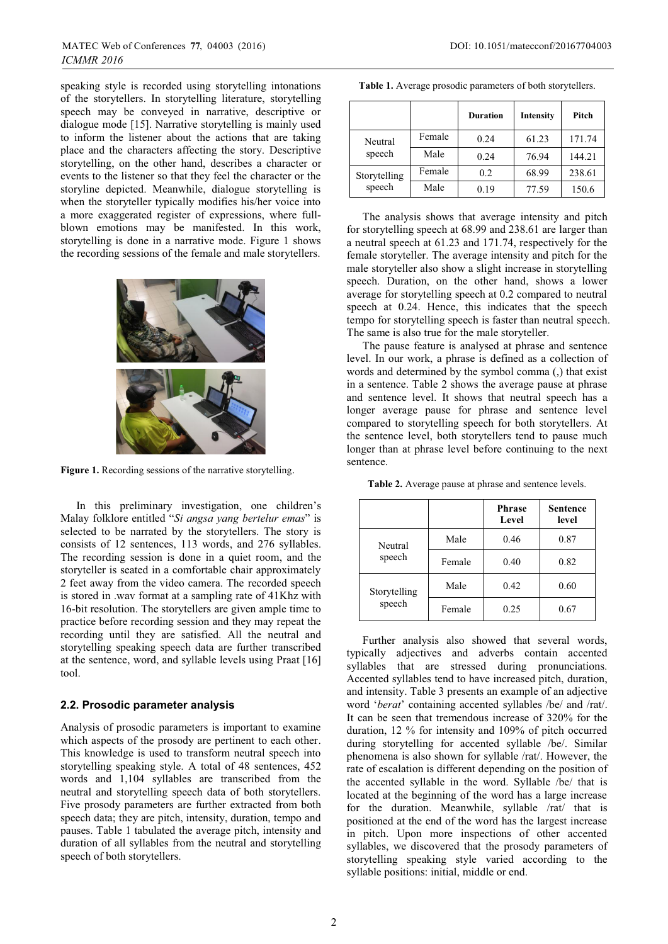speaking style is recorded using storytelling intonations of the storytellers. In storytelling literature, storytelling speech may be conveyed in narrative, descriptive or dialogue mode [15]. Narrative storytelling is mainly used to inform the listener about the actions that are taking place and the characters affecting the story. Descriptive storytelling, on the other hand, describes a character or events to the listener so that they feel the character or the storyline depicted. Meanwhile, dialogue storytelling is when the storyteller typically modifies his/her voice into a more exaggerated register of expressions, where fullblown emotions may be manifested. In this work, storytelling is done in a narrative mode. Figure 1 shows the recording sessions of the female and male storytellers.



**Figure 1.** Recording sessions of the narrative storytelling.

In this preliminary investigation, one children's Malay folklore entitled "*Si angsa yang bertelur emas*" is selected to be narrated by the storytellers. The story is consists of 12 sentences, 113 words, and 276 syllables. The recording session is done in a quiet room, and the storyteller is seated in a comfortable chair approximately 2 feet away from the video camera. The recorded speech is stored in .wav format at a sampling rate of 41Khz with 16-bit resolution. The storytellers are given ample time to practice before recording session and they may repeat the recording until they are satisfied. All the neutral and storytelling speaking speech data are further transcribed at the sentence, word, and syllable levels using Praat [16] tool.

#### **2.2. Prosodic parameter analysis**

Analysis of prosodic parameters is important to examine which aspects of the prosody are pertinent to each other. This knowledge is used to transform neutral speech into storytelling speaking style. A total of 48 sentences, 452 words and 1,104 syllables are transcribed from the neutral and storytelling speech data of both storytellers. Five prosody parameters are further extracted from both speech data; they are pitch, intensity, duration, tempo and pauses. Table 1 tabulated the average pitch, intensity and duration of all syllables from the neutral and storytelling speech of both storytellers.

|                   |        | <b>Duration</b> | Intensity | Pitch  |
|-------------------|--------|-----------------|-----------|--------|
| Neutral<br>speech | Female | 0.24            | 61.23     | 171.74 |
|                   | Male   | 0.24            | 76.94     | 144.21 |
| Storytelling      | Female | 0.2             | 68.99     | 238.61 |
| speech            | Male   | 0.19            | 77.59     | 150.6  |

The analysis shows that average intensity and pitch for storytelling speech at 68.99 and 238.61 are larger than a neutral speech at 61.23 and 171.74, respectively for the female storyteller. The average intensity and pitch for the male storyteller also show a slight increase in storytelling speech. Duration, on the other hand, shows a lower average for storytelling speech at 0.2 compared to neutral speech at 0.24. Hence, this indicates that the speech tempo for storytelling speech is faster than neutral speech. The same is also true for the male storyteller.

The pause feature is analysed at phrase and sentence level. In our work, a phrase is defined as a collection of words and determined by the symbol comma (,) that exist in a sentence. Table 2 shows the average pause at phrase and sentence level. It shows that neutral speech has a longer average pause for phrase and sentence level compared to storytelling speech for both storytellers. At the sentence level, both storytellers tend to pause much longer than at phrase level before continuing to the next sentence.

|                        |        | <b>Phrase</b><br>Level | <b>Sentence</b><br>level |
|------------------------|--------|------------------------|--------------------------|
| Neutral                | Male   | 0.46                   | 0.87                     |
| speech                 | Female | 0.40                   | 0.82                     |
| Storytelling<br>speech | Male   | 0.42                   | 0.60                     |
|                        | Female | 0.25                   | 0.67                     |

**Table 2.** Average pause at phrase and sentence levels.

Further analysis also showed that several words, typically adjectives and adverbs contain accented syllables that are stressed during pronunciations. Accented syllables tend to have increased pitch, duration, and intensity. Table 3 presents an example of an adjective word '*berat*' containing accented syllables /be/ and /rat/. It can be seen that tremendous increase of 320% for the duration, 12 % for intensity and 109% of pitch occurred during storytelling for accented syllable /be/. Similar phenomena is also shown for syllable /rat/. However, the rate of escalation is different depending on the position of the accented syllable in the word. Syllable /be/ that is located at the beginning of the word has a large increase for the duration. Meanwhile, syllable /rat/ that is positioned at the end of the word has the largest increase in pitch. Upon more inspections of other accented syllables, we discovered that the prosody parameters of storytelling speaking style varied according to the syllable positions: initial, middle or end.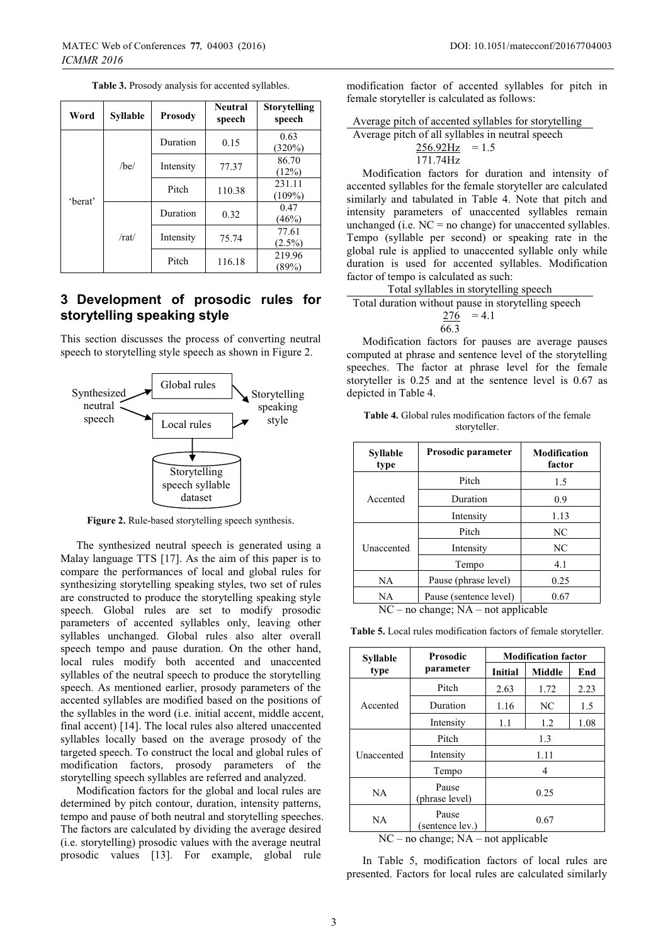| Word             | <b>Syllable</b> | <b>Prosody</b>     | <b>Neutral</b><br>speech | <b>Storytelling</b><br>speech |
|------------------|-----------------|--------------------|--------------------------|-------------------------------|
|                  |                 | Duration           | 0.15                     | 0.63<br>$(320\%)$             |
|                  | /be/            | Intensity          | 77.37                    | 86.70<br>(12%)                |
| 'berat'<br>/rat/ |                 | Pitch              | 110.38                   | 231.11<br>$(109\%)$           |
|                  |                 | Duration           | 0.32                     | 0.47<br>$(46\%)$              |
|                  |                 | Intensity<br>75.74 | 77.61<br>$(2.5\%)$       |                               |
|                  |                 | Pitch              | 116.18                   | 219.96<br>(89%)               |

**Table 3.** Prosody analysis for accented syllables.

## **3 Development of prosodic rules for storytelling speaking style**

This section discusses the process of converting neutral speech to storytelling style speech as shown in Figure 2.



**Figure 2.** Rule-based storytelling speech synthesis.

The synthesized neutral speech is generated using a Malay language TTS [17]. As the aim of this paper is to compare the performances of local and global rules for synthesizing storytelling speaking styles, two set of rules are constructed to produce the storytelling speaking style speech. Global rules are set to modify prosodic parameters of accented syllables only, leaving other syllables unchanged. Global rules also alter overall speech tempo and pause duration. On the other hand, local rules modify both accented and unaccented syllables of the neutral speech to produce the storytelling speech. As mentioned earlier, prosody parameters of the accented syllables are modified based on the positions of the syllables in the word (i.e. initial accent, middle accent, final accent) [14]. The local rules also altered unaccented syllables locally based on the average prosody of the targeted speech. To construct the local and global rules of modification factors, prosody parameters of the storytelling speech syllables are referred and analyzed.

Modification factors for the global and local rules are determined by pitch contour, duration, intensity patterns, tempo and pause of both neutral and storytelling speeches. The factors are calculated by dividing the average desired (i.e. storytelling) prosodic values with the average neutral prosodic values [13]. For example, global rule

modification factor of accented syllables for pitch in female storyteller is calculated as follows:

Average pitch of accented syllables for storytelling Average pitch of all syllables in neutral speech

| C phùil 01 ail synaones in neutrai |  |
|------------------------------------|--|
| $256.92 \text{Hz} = 1.5$           |  |
| 171.74Hz                           |  |

Modification factors for duration and intensity of accented syllables for the female storyteller are calculated similarly and tabulated in Table 4. Note that pitch and intensity parameters of unaccented syllables remain unchanged (i.e.  $NC = no$  change) for unaccented syllables. Tempo (syllable per second) or speaking rate in the global rule is applied to unaccented syllable only while duration is used for accented syllables. Modification factor of tempo is calculated as such:

Total syllables in storytelling speech Total duration without pause in storytelling speech  $276 = 4.1$ 

$$
\overline{66.3}
$$

Modification factors for pauses are average pauses computed at phrase and sentence level of the storytelling speeches. The factor at phrase level for the female storyteller is 0.25 and at the sentence level is 0.67 as depicted in Table 4.

| <b>Syllable</b><br>type | Prosodic parameter             | <b>Modification</b><br>factor |
|-------------------------|--------------------------------|-------------------------------|
|                         | Pitch                          | 1.5                           |
| Accented                | Duration                       | 0.9                           |
|                         | Intensity                      | 1.13                          |
|                         | Pitch                          | NC                            |
| Unaccented              | Intensity                      | NC                            |
|                         | Tempo                          | 4.1                           |
| <b>NA</b>               | Pause (phrase level)           | 0.25                          |
| NA                      | Pause (sentence level)<br>0.67 |                               |

| <b>Table 4.</b> Global rules modification factors of the female |              |  |  |
|-----------------------------------------------------------------|--------------|--|--|
|                                                                 | storyteller. |  |  |

NC – no change; NA – not applicable

**Table 5.** Local rules modification factors of female storyteller.

| <b>Syllable</b>   | <b>Prosodic</b>          | <b>Modification factor</b> |        |      |
|-------------------|--------------------------|----------------------------|--------|------|
| type              | parameter                | <b>Initial</b>             | Middle | End  |
|                   | Pitch                    | 2.63                       | 1.72   | 2.23 |
| Accented          | Duration                 | 1.16                       | NC     | 1.5  |
|                   | Intensity                | 1.1                        | 1.2    | 1.08 |
|                   | Pitch                    |                            | 1.3    |      |
| <b>Unaccented</b> | Intensity                |                            | 1.11   |      |
|                   | Tempo                    |                            | 4      |      |
| NA                | Pause<br>(phrase level)  | 0.25                       |        |      |
| NA                | Pause<br>(sentence lev.) |                            | 0.67   |      |

NC – no change; NA – not applicable

In Table 5, modification factors of local rules are presented. Factors for local rules are calculated similarly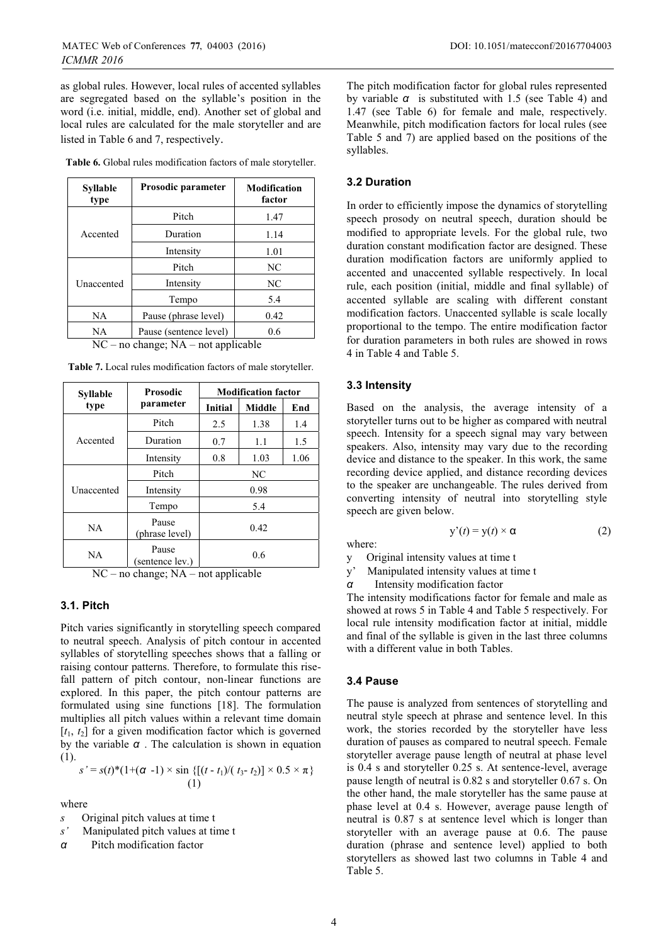as global rules. However, local rules of accented syllables are segregated based on the syllable's position in the word (i.e. initial, middle, end). Another set of global and local rules are calculated for the male storyteller and are listed in Table 6 and 7, respectively.

**Table 6.** Global rules modification factors of male storyteller.

| <b>Syllable</b><br>type | Prosodic parameter     | <b>Modification</b><br>factor |
|-------------------------|------------------------|-------------------------------|
|                         | Pitch                  | 1.47                          |
| Accented                | Duration               | 1.14                          |
|                         | Intensity              | 1.01                          |
|                         | Pitch                  | NC                            |
| Unaccented              | Intensity              | NC                            |
|                         | Tempo                  | 5.4                           |
| NA                      | Pause (phrase level)   | 0.42                          |
| NA                      | Pause (sentence level) | 0.6                           |
| .                       | . .<br>$   -$          | $\sim$                        |

NC – no change; NA – not applicable

| <b>Syllable</b> | <b>Prosodic</b>          | <b>Modification factor</b> |               |      |
|-----------------|--------------------------|----------------------------|---------------|------|
| type            | parameter                | <b>Initial</b>             | <b>Middle</b> | End  |
|                 | Pitch                    | 2.5                        | 1.38          | 1.4  |
| Accented        | Duration                 | 0.7                        | 1.1           | 1.5  |
|                 | Intensity                | 0.8                        | 1.03          | 1.06 |
|                 | Pitch                    | NC                         |               |      |
| Unaccented      | Intensity                |                            | 0.98          |      |
|                 | Tempo                    |                            | 5.4           |      |
| <b>NA</b>       | Pause<br>(phrase level)  | 0.42                       |               |      |
| <b>NA</b>       | Pause<br>(sentence lev.) |                            | 0.6           |      |

**Table 7.** Local rules modification factors of male storyteller.

NC – no change; NA – not applicable

## **3.1. Pitch**

Pitch varies significantly in storytelling speech compared to neutral speech. Analysis of pitch contour in accented syllables of storytelling speeches shows that a falling or raising contour patterns. Therefore, to formulate this risefall pattern of pitch contour, non-linear functions are explored. In this paper, the pitch contour patterns are formulated using sine functions [18]. The formulation multiplies all pitch values within a relevant time domain  $[t_1, t_2]$  for a given modification factor which is governed by the variable *α* . The calculation is shown in equation (1).

$$
s' = s(t)^{*}(1+(\alpha -1) \times \sin \{[(t-t_1)/(t_3-t_2)] \times 0.5 \times \pi\}
$$
  
(1)

where

- *s* Original pitch values at time t
- *s'* Manipulated pitch values at time t
- *α* Pitch modification factor

The pitch modification factor for global rules represented by variable *α* is substituted with 1.5 (see Table 4) and 1.47 (see Table 6) for female and male, respectively. Meanwhile, pitch modification factors for local rules (see Table 5 and 7) are applied based on the positions of the syllables.

#### **3.2 Duration**

In order to efficiently impose the dynamics of storytelling speech prosody on neutral speech, duration should be modified to appropriate levels. For the global rule, two duration constant modification factor are designed. These duration modification factors are uniformly applied to accented and unaccented syllable respectively. In local rule, each position (initial, middle and final syllable) of accented syllable are scaling with different constant modification factors. Unaccented syllable is scale locally proportional to the tempo. The entire modification factor for duration parameters in both rules are showed in rows 4 in Table 4 and Table 5.

### **3.3 Intensity**

Based on the analysis, the average intensity of a storyteller turns out to be higher as compared with neutral speech. Intensity for a speech signal may vary between speakers. Also, intensity may vary due to the recording device and distance to the speaker. In this work, the same recording device applied, and distance recording devices to the speaker are unchangeable. The rules derived from converting intensity of neutral into storytelling style speech are given below.

 $y'(t) = y(t) \times \alpha$  (2)

- where: y Original intensity values at time t
- y' Manipulated intensity values at time t

*α* Intensity modification factor

The intensity modifications factor for female and male as showed at rows 5 in Table 4 and Table 5 respectively. For local rule intensity modification factor at initial, middle and final of the syllable is given in the last three columns with a different value in both Tables.

#### **3.4 Pause**

The pause is analyzed from sentences of storytelling and neutral style speech at phrase and sentence level. In this work, the stories recorded by the storyteller have less duration of pauses as compared to neutral speech. Female storyteller average pause length of neutral at phase level is 0.4 s and storyteller 0.25 s. At sentence-level, average pause length of neutral is 0.82 s and storyteller 0.67 s. On the other hand, the male storyteller has the same pause at phase level at 0.4 s. However, average pause length of neutral is 0.87 s at sentence level which is longer than storyteller with an average pause at 0.6. The pause duration (phrase and sentence level) applied to both storytellers as showed last two columns in Table 4 and Table 5.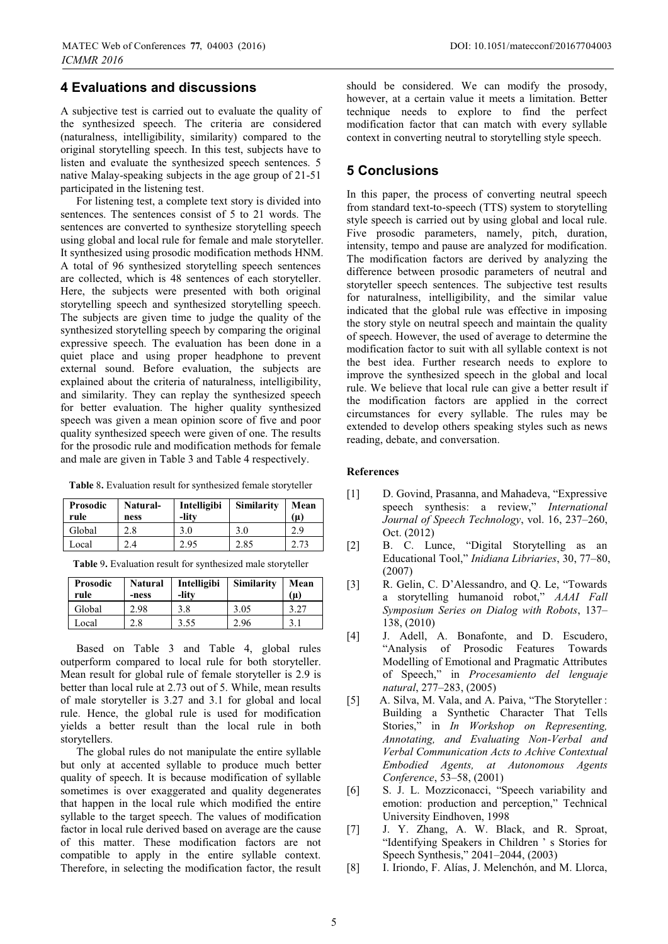## **4 Evaluations and discussions**

A subjective test is carried out to evaluate the quality of the synthesized speech. The criteria are considered (naturalness, intelligibility, similarity) compared to the original storytelling speech. In this test, subjects have to listen and evaluate the synthesized speech sentences. 5 native Malay-speaking subjects in the age group of 21-51 participated in the listening test.

For listening test, a complete text story is divided into sentences. The sentences consist of 5 to 21 words. The sentences are converted to synthesize storytelling speech using global and local rule for female and male storyteller. It synthesized using prosodic modification methods HNM. A total of 96 synthesized storytelling speech sentences are collected, which is 48 sentences of each storyteller. Here, the subjects were presented with both original storytelling speech and synthesized storytelling speech. The subjects are given time to judge the quality of the synthesized storytelling speech by comparing the original expressive speech. The evaluation has been done in a quiet place and using proper headphone to prevent external sound. Before evaluation, the subjects are explained about the criteria of naturalness, intelligibility, and similarity. They can replay the synthesized speech for better evaluation. The higher quality synthesized speech was given a mean opinion score of five and poor quality synthesized speech were given of one. The results for the prosodic rule and modification methods for female and male are given in Table 3 and Table 4 respectively.

|  |  |  | Table 8. Evaluation result for synthesized female storyteller |
|--|--|--|---------------------------------------------------------------|
|--|--|--|---------------------------------------------------------------|

| <b>Prosodic</b><br>rule | Natural-<br>ness | Intelligibi<br>-litv | <b>Similarity</b> | Mean<br>(µ) |
|-------------------------|------------------|----------------------|-------------------|-------------|
| Global                  | 2.8              | 3.0                  | 3.0               | 2.9         |
| Local                   | 2.4              | 2.95                 | 2.85              |             |

**Table** 9**.** Evaluation result for synthesized male storyteller

| <b>Prosodic</b><br>rule | <b>Natural</b><br>-ness | Intelligibi<br>-lity | <b>Similarity</b> | Mean<br>$(\mu)$ |
|-------------------------|-------------------------|----------------------|-------------------|-----------------|
| Global                  | 2.98                    | 3.8                  | 3.05              | 3.27            |
| Local                   | 2.8                     | 3.55                 | 2.96              | 3.1             |

Based on Table 3 and Table 4, global rules outperform compared to local rule for both storyteller. Mean result for global rule of female storyteller is 2.9 is better than local rule at 2.73 out of 5. While, mean results of male storyteller is 3.27 and 3.1 for global and local rule. Hence, the global rule is used for modification yields a better result than the local rule in both storytellers.

The global rules do not manipulate the entire syllable but only at accented syllable to produce much better quality of speech. It is because modification of syllable sometimes is over exaggerated and quality degenerates that happen in the local rule which modified the entire syllable to the target speech. The values of modification factor in local rule derived based on average are the cause of this matter. These modification factors are not compatible to apply in the entire syllable context. Therefore, in selecting the modification factor, the result

should be considered. We can modify the prosody, however, at a certain value it meets a limitation. Better technique needs to explore to find the perfect modification factor that can match with every syllable context in converting neutral to storytelling style speech.

## **5 Conclusions**

In this paper, the process of converting neutral speech from standard text-to-speech (TTS) system to storytelling style speech is carried out by using global and local rule. Five prosodic parameters, namely, pitch, duration, intensity, tempo and pause are analyzed for modification. The modification factors are derived by analyzing the difference between prosodic parameters of neutral and storyteller speech sentences. The subjective test results for naturalness, intelligibility, and the similar value indicated that the global rule was effective in imposing the story style on neutral speech and maintain the quality of speech. However, the used of average to determine the modification factor to suit with all syllable context is not the best idea. Further research needs to explore to improve the synthesized speech in the global and local rule. We believe that local rule can give a better result if the modification factors are applied in the correct circumstances for every syllable. The rules may be extended to develop others speaking styles such as news reading, debate, and conversation.

#### **References**

- [1] D. Govind, Prasanna, and Mahadeva, "Expressive speech synthesis: a review," *International Journal of Speech Technology*, vol. 16, 237–260, Oct. (2012)
- [2] B. C. Lunce, "Digital Storytelling as an Educational Tool," *Inidiana Libriaries*, 30, 77–80, (2007)
- [3] R. Gelin, C. D'Alessandro, and Q. Le, "Towards a storytelling humanoid robot," *AAAI Fall Symposium Series on Dialog with Robots*, 137– 138, (2010)
- [4] J. Adell, A. Bonafonte, and D. Escudero, "Analysis of Prosodic Features Towards Modelling of Emotional and Pragmatic Attributes of Speech," in *Procesamiento del lenguaje natural*, 277–283, (2005)
- [5] A. Silva, M. Vala, and A. Paiva, "The Storyteller : Building a Synthetic Character That Tells Stories," in *In Workshop on Representing, Annotating, and Evaluating Non-Verbal and Verbal Communication Acts to Achive Contextual Embodied Agents, at Autonomous Agents Conference*, 53–58, (2001)
- [6] S. J. L. Mozziconacci, "Speech variability and emotion: production and perception," Technical University Eindhoven, 1998
- [7] J. Y. Zhang, A. W. Black, and R. Sproat, "Identifying Speakers in Children ' s Stories for Speech Synthesis," 2041–2044, (2003)
- [8] I. Iriondo, F. Alías, J. Melenchón, and M. Llorca,